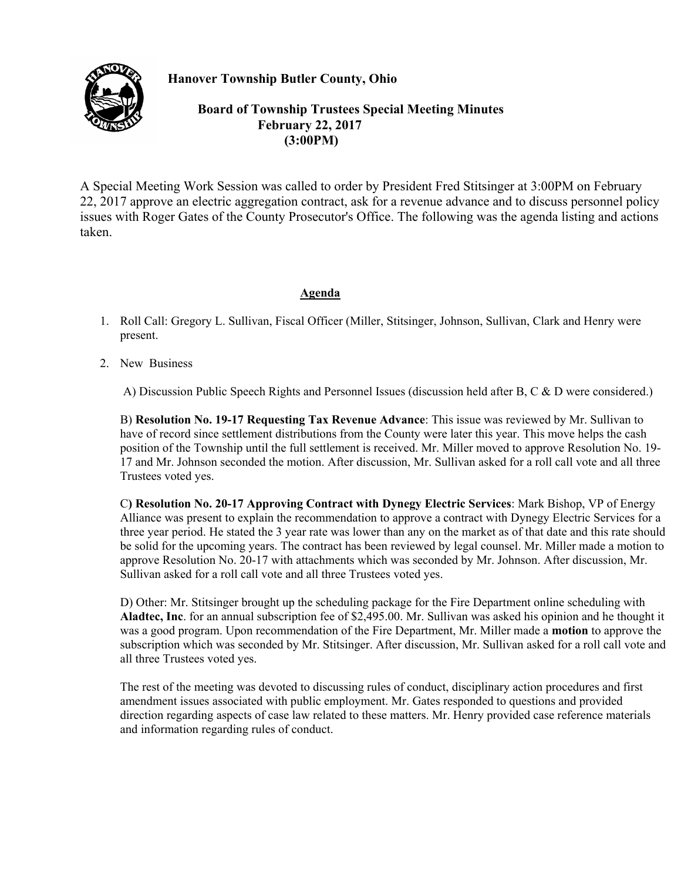## **Hanover Township Butler County, Ohio**



 **Board of Township Trustees Special Meeting Minutes February 22, 2017 (3:00PM)** 

A Special Meeting Work Session was called to order by President Fred Stitsinger at 3:00PM on February 22, 2017 approve an electric aggregation contract, ask for a revenue advance and to discuss personnel policy issues with Roger Gates of the County Prosecutor's Office. The following was the agenda listing and actions taken.

## **Agenda**

- 1. Roll Call: Gregory L. Sullivan, Fiscal Officer (Miller, Stitsinger, Johnson, Sullivan, Clark and Henry were present.
- 2. New Business

A) Discussion Public Speech Rights and Personnel Issues (discussion held after B, C & D were considered.)

B) **Resolution No. 19-17 Requesting Tax Revenue Advance**: This issue was reviewed by Mr. Sullivan to have of record since settlement distributions from the County were later this year. This move helps the cash position of the Township until the full settlement is received. Mr. Miller moved to approve Resolution No. 19- 17 and Mr. Johnson seconded the motion. After discussion, Mr. Sullivan asked for a roll call vote and all three Trustees voted yes.

C**) Resolution No. 20-17 Approving Contract with Dynegy Electric Services**: Mark Bishop, VP of Energy Alliance was present to explain the recommendation to approve a contract with Dynegy Electric Services for a three year period. He stated the 3 year rate was lower than any on the market as of that date and this rate should be solid for the upcoming years. The contract has been reviewed by legal counsel. Mr. Miller made a motion to approve Resolution No. 20-17 with attachments which was seconded by Mr. Johnson. After discussion, Mr. Sullivan asked for a roll call vote and all three Trustees voted yes.

D) Other: Mr. Stitsinger brought up the scheduling package for the Fire Department online scheduling with **Aladtec, Inc**. for an annual subscription fee of \$2,495.00. Mr. Sullivan was asked his opinion and he thought it was a good program. Upon recommendation of the Fire Department, Mr. Miller made a **motion** to approve the subscription which was seconded by Mr. Stitsinger. After discussion, Mr. Sullivan asked for a roll call vote and all three Trustees voted yes.

The rest of the meeting was devoted to discussing rules of conduct, disciplinary action procedures and first amendment issues associated with public employment. Mr. Gates responded to questions and provided direction regarding aspects of case law related to these matters. Mr. Henry provided case reference materials and information regarding rules of conduct.